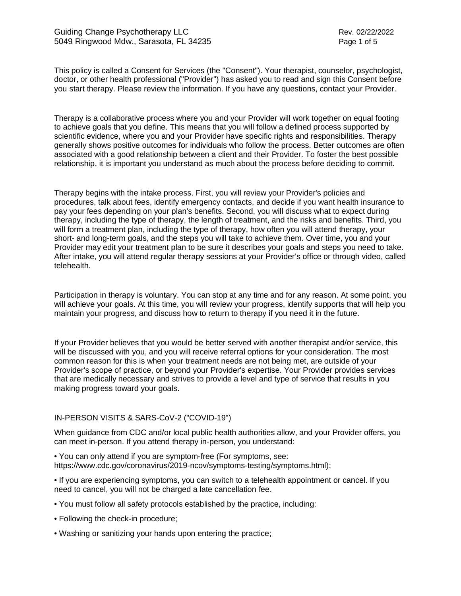This policy is called a Consent for Services (the "Consent"). Your therapist, counselor, psychologist, doctor, or other health professional ("Provider") has asked you to read and sign this Consent before you start therapy. Please review the information. If you have any questions, contact your Provider.

Therapy is a collaborative process where you and your Provider will work together on equal footing to achieve goals that you define. This means that you will follow a defined process supported by scientific evidence, where you and your Provider have specific rights and responsibilities. Therapy generally shows positive outcomes for individuals who follow the process. Better outcomes are often associated with a good relationship between a client and their Provider. To foster the best possible relationship, it is important you understand as much about the process before deciding to commit.

Therapy begins with the intake process. First, you will review your Provider's policies and procedures, talk about fees, identify emergency contacts, and decide if you want health insurance to pay your fees depending on your plan's benefits. Second, you will discuss what to expect during therapy, including the type of therapy, the length of treatment, and the risks and benefits. Third, you will form a treatment plan, including the type of therapy, how often you will attend therapy, your short- and long-term goals, and the steps you will take to achieve them. Over time, you and your Provider may edit your treatment plan to be sure it describes your goals and steps you need to take. After intake, you will attend regular therapy sessions at your Provider's office or through video, called telehealth.

Participation in therapy is voluntary. You can stop at any time and for any reason. At some point, you will achieve your goals. At this time, you will review your progress, identify supports that will help you maintain your progress, and discuss how to return to therapy if you need it in the future.

If your Provider believes that you would be better served with another therapist and/or service, this will be discussed with you, and you will receive referral options for your consideration. The most common reason for this is when your treatment needs are not being met, are outside of your Provider's scope of practice, or beyond your Provider's expertise. Your Provider provides services that are medically necessary and strives to provide a level and type of service that results in you making progress toward your goals.

# IN-PERSON VISITS & SARS-CoV-2 ("COVID-19")

When guidance from CDC and/or local public health authorities allow, and your Provider offers, you can meet in-person. If you attend therapy in-person, you understand:

• You can only attend if you are symptom-free (For symptoms, see: https://www.cdc.gov/coronavirus/2019-ncov/symptoms-testing/symptoms.html);

• If you are experiencing symptoms, you can switch to a telehealth appointment or cancel. If you need to cancel, you will not be charged a late cancellation fee.

- You must follow all safety protocols established by the practice, including:
- Following the check-in procedure;
- Washing or sanitizing your hands upon entering the practice;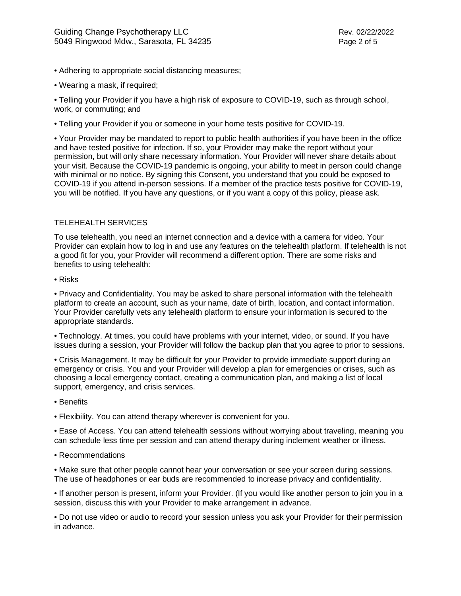- Adhering to appropriate social distancing measures;
- Wearing a mask, if required;

• Telling your Provider if you have a high risk of exposure to COVID-19, such as through school, work, or commuting; and

• Telling your Provider if you or someone in your home tests positive for COVID-19.

• Your Provider may be mandated to report to public health authorities if you have been in the office and have tested positive for infection. If so, your Provider may make the report without your permission, but will only share necessary information. Your Provider will never share details about your visit. Because the COVID-19 pandemic is ongoing, your ability to meet in person could change with minimal or no notice. By signing this Consent, you understand that you could be exposed to COVID-19 if you attend in-person sessions. If a member of the practice tests positive for COVID-19, you will be notified. If you have any questions, or if you want a copy of this policy, please ask.

# TELEHEALTH SERVICES

To use telehealth, you need an internet connection and a device with a camera for video. Your Provider can explain how to log in and use any features on the telehealth platform. If telehealth is not a good fit for you, your Provider will recommend a different option. There are some risks and benefits to using telehealth:

## • Risks

• Privacy and Confidentiality. You may be asked to share personal information with the telehealth platform to create an account, such as your name, date of birth, location, and contact information. Your Provider carefully vets any telehealth platform to ensure your information is secured to the appropriate standards.

• Technology. At times, you could have problems with your internet, video, or sound. If you have issues during a session, your Provider will follow the backup plan that you agree to prior to sessions.

• Crisis Management. It may be difficult for your Provider to provide immediate support during an emergency or crisis. You and your Provider will develop a plan for emergencies or crises, such as choosing a local emergency contact, creating a communication plan, and making a list of local support, emergency, and crisis services.

- Benefits
- Flexibility. You can attend therapy wherever is convenient for you.

• Ease of Access. You can attend telehealth sessions without worrying about traveling, meaning you can schedule less time per session and can attend therapy during inclement weather or illness.

• Recommendations

• Make sure that other people cannot hear your conversation or see your screen during sessions. The use of headphones or ear buds are recommended to increase privacy and confidentiality.

• If another person is present, inform your Provider. (If you would like another person to join you in a session, discuss this with your Provider to make arrangement in advance.

• Do not use video or audio to record your session unless you ask your Provider for their permission in advance.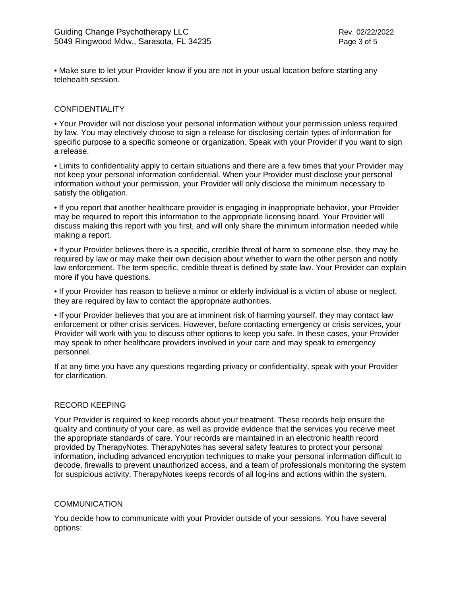• Make sure to let your Provider know if you are not in your usual location before starting any telehealth session.

## **CONFIDENTIALITY**

• Your Provider will not disclose your personal information without your permission unless required by law. You may electively choose to sign a release for disclosing certain types of information for specific purpose to a specific someone or organization. Speak with your Provider if you want to sign a release.

• Limits to confidentiality apply to certain situations and there are a few times that your Provider may not keep your personal information confidential. When your Provider must disclose your personal information without your permission, your Provider will only disclose the minimum necessary to satisfy the obligation.

• If you report that another healthcare provider is engaging in inappropriate behavior, your Provider may be required to report this information to the appropriate licensing board. Your Provider will discuss making this report with you first, and will only share the minimum information needed while making a report.

• If your Provider believes there is a specific, credible threat of harm to someone else, they may be required by law or may make their own decision about whether to warn the other person and notify law enforcement. The term specific, credible threat is defined by state law. Your Provider can explain more if you have questions.

• If your Provider has reason to believe a minor or elderly individual is a victim of abuse or neglect, they are required by law to contact the appropriate authorities.

• If your Provider believes that you are at imminent risk of harming yourself, they may contact law enforcement or other crisis services. However, before contacting emergency or crisis services, your Provider will work with you to discuss other options to keep you safe. In these cases, your Provider may speak to other healthcare providers involved in your care and may speak to emergency personnel.

If at any time you have any questions regarding privacy or confidentiality, speak with your Provider for clarification.

### RECORD KEEPING

Your Provider is required to keep records about your treatment. These records help ensure the quality and continuity of your care, as well as provide evidence that the services you receive meet the appropriate standards of care. Your records are maintained in an electronic health record provided by TherapyNotes. TherapyNotes has several safety features to protect your personal information, including advanced encryption techniques to make your personal information difficult to decode, firewalls to prevent unauthorized access, and a team of professionals monitoring the system for suspicious activity. TherapyNotes keeps records of all log-ins and actions within the system.

### **COMMUNICATION**

You decide how to communicate with your Provider outside of your sessions. You have several options: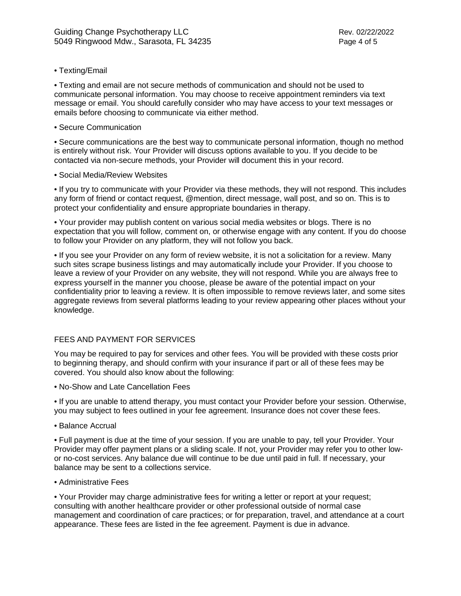• Texting/Email

• Texting and email are not secure methods of communication and should not be used to communicate personal information. You may choose to receive appointment reminders via text message or email. You should carefully consider who may have access to your text messages or emails before choosing to communicate via either method.

• Secure Communication

• Secure communications are the best way to communicate personal information, though no method is entirely without risk. Your Provider will discuss options available to you. If you decide to be contacted via non-secure methods, your Provider will document this in your record.

• Social Media/Review Websites

• If you try to communicate with your Provider via these methods, they will not respond. This includes any form of friend or contact request, @mention, direct message, wall post, and so on. This is to protect your confidentiality and ensure appropriate boundaries in therapy.

• Your provider may publish content on various social media websites or blogs. There is no expectation that you will follow, comment on, or otherwise engage with any content. If you do choose to follow your Provider on any platform, they will not follow you back.

• If you see your Provider on any form of review website, it is not a solicitation for a review. Many such sites scrape business listings and may automatically include your Provider. If you choose to leave a review of your Provider on any website, they will not respond. While you are always free to express yourself in the manner you choose, please be aware of the potential impact on your confidentiality prior to leaving a review. It is often impossible to remove reviews later, and some sites aggregate reviews from several platforms leading to your review appearing other places without your knowledge.

# FEES AND PAYMENT FOR SERVICES

You may be required to pay for services and other fees. You will be provided with these costs prior to beginning therapy, and should confirm with your insurance if part or all of these fees may be covered. You should also know about the following:

• No-Show and Late Cancellation Fees

• If you are unable to attend therapy, you must contact your Provider before your session. Otherwise, you may subject to fees outlined in your fee agreement. Insurance does not cover these fees.

• Balance Accrual

• Full payment is due at the time of your session. If you are unable to pay, tell your Provider. Your Provider may offer payment plans or a sliding scale. If not, your Provider may refer you to other lowor no-cost services. Any balance due will continue to be due until paid in full. If necessary, your balance may be sent to a collections service.

• Administrative Fees

• Your Provider may charge administrative fees for writing a letter or report at your request; consulting with another healthcare provider or other professional outside of normal case management and coordination of care practices; or for preparation, travel, and attendance at a court appearance. These fees are listed in the fee agreement. Payment is due in advance.